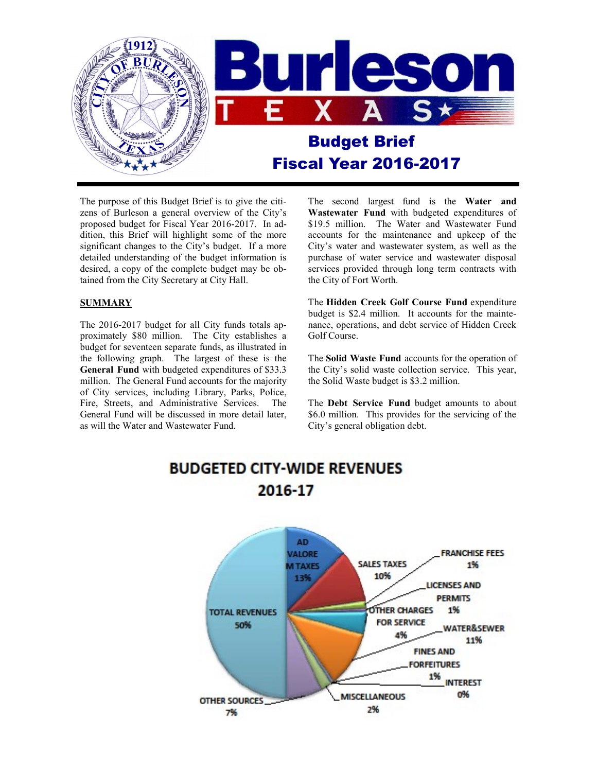

The purpose of this Budget Brief is to give the citizens of Burleson a general overview of the City's proposed budget for Fiscal Year 2016-2017. In addition, this Brief will highlight some of the more significant changes to the City's budget. If a more detailed understanding of the budget information is desired, a copy of the complete budget may be obtained from the City Secretary at City Hall.

# **SUMMARY**

The 2016-2017 budget for all City funds totals approximately \$80 million. The City establishes a budget for seventeen separate funds, as illustrated in the following graph. The largest of these is the **General Fund** with budgeted expenditures of \$33.3 million. The General Fund accounts for the majority of City services, including Library, Parks, Police, Fire, Streets, and Administrative Services. The General Fund will be discussed in more detail later, as will the Water and Wastewater Fund.

The second largest fund is the **Water and Wastewater Fund** with budgeted expenditures of \$19.5 million. The Water and Wastewater Fund accounts for the maintenance and upkeep of the City's water and wastewater system, as well as the purchase of water service and wastewater disposal services provided through long term contracts with the City of Fort Worth.

The **Hidden Creek Golf Course Fund** expenditure budget is \$2.4 million. It accounts for the maintenance, operations, and debt service of Hidden Creek Golf Course.

The **Solid Waste Fund** accounts for the operation of the City's solid waste collection service. This year, the Solid Waste budget is \$3.2 million.

The **Debt Service Fund** budget amounts to about \$6.0 million. This provides for the servicing of the City's general obligation debt.

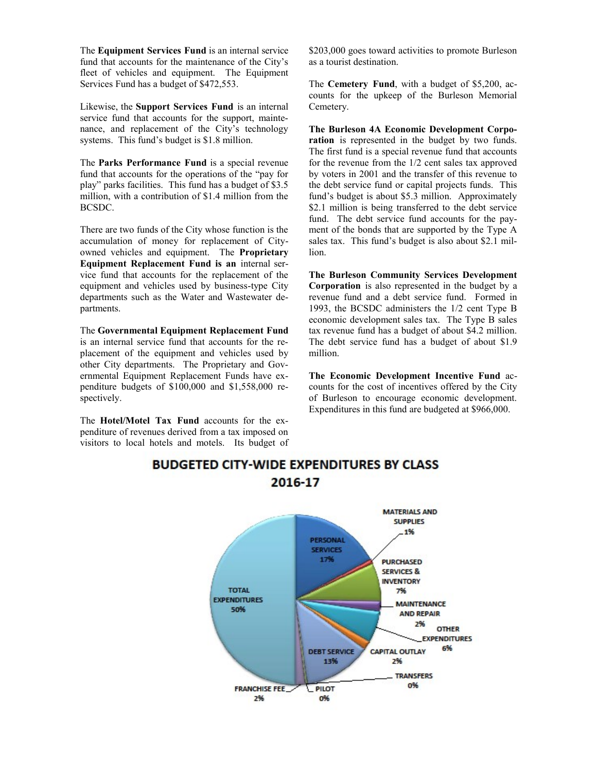The **Equipment Services Fund** is an internal service fund that accounts for the maintenance of the City's fleet of vehicles and equipment. The Equipment Services Fund has a budget of \$472,553.

Likewise, the **Support Services Fund** is an internal service fund that accounts for the support, maintenance, and replacement of the City's technology systems. This fund's budget is \$1.8 million.

The **Parks Performance Fund** is a special revenue fund that accounts for the operations of the "pay for play" parks facilities. This fund has a budget of \$3.5 million, with a contribution of \$1.4 million from the BCSDC.

There are two funds of the City whose function is the accumulation of money for replacement of Cityowned vehicles and equipment. The **Proprietary Equipment Replacement Fund is an** internal service fund that accounts for the replacement of the equipment and vehicles used by business-type City departments such as the Water and Wastewater departments.

The **Governmental Equipment Replacement Fund**  is an internal service fund that accounts for the replacement of the equipment and vehicles used by other City departments. The Proprietary and Governmental Equipment Replacement Funds have expenditure budgets of \$100,000 and \$1,558,000 respectively.

The **Hotel/Motel Tax Fund** accounts for the expenditure of revenues derived from a tax imposed on visitors to local hotels and motels. Its budget of \$203,000 goes toward activities to promote Burleson as a tourist destination.

The **Cemetery Fund**, with a budget of \$5,200, accounts for the upkeep of the Burleson Memorial Cemetery.

**The Burleson 4A Economic Development Corporation** is represented in the budget by two funds. The first fund is a special revenue fund that accounts for the revenue from the 1/2 cent sales tax approved by voters in 2001 and the transfer of this revenue to the debt service fund or capital projects funds. This fund's budget is about \$5.3 million. Approximately \$2.1 million is being transferred to the debt service fund. The debt service fund accounts for the payment of the bonds that are supported by the Type A sales tax. This fund's budget is also about \$2.1 million.

**The Burleson Community Services Development Corporation** is also represented in the budget by a revenue fund and a debt service fund. Formed in 1993, the BCSDC administers the 1/2 cent Type B economic development sales tax. The Type B sales tax revenue fund has a budget of about \$4.2 million. The debt service fund has a budget of about \$1.9 million.

**The Economic Development Incentive Fund** accounts for the cost of incentives offered by the City of Burleson to encourage economic development. Expenditures in this fund are budgeted at \$966,000.



# **BUDGETED CITY-WIDE EXPENDITURES BY CLASS** 2016-17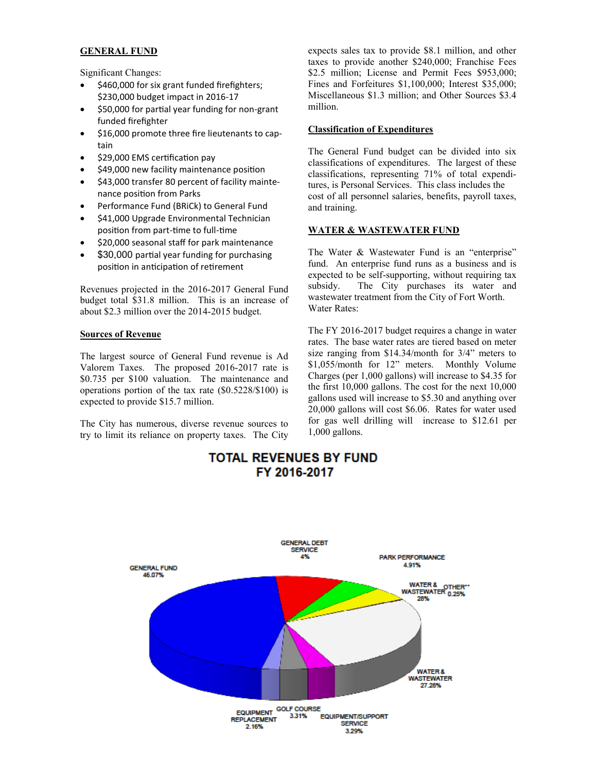# **GENERAL FUND**

Significant Changes:

- \$460,000 for six grant funded firefighters; \$230,000 budget impact in 2016-17
- \$50,000 for partial year funding for non-grant funded firefighter
- \$16,000 promote three fire lieutenants to captain
- \$29,000 EMS certification pay
- \$49,000 new facility maintenance position
- \$43,000 transfer 80 percent of facility maintenance position from Parks
- Performance Fund (BRiCk) to General Fund
- \$41,000 Upgrade Environmental Technician position from part-time to full-time
- \$20,000 seasonal staff for park maintenance
- \$30,000 partial year funding for purchasing position in anticipation of retirement

Revenues projected in the 2016-2017 General Fund budget total \$31.8 million. This is an increase of about \$2.3 million over the 2014-2015 budget.

# **Sources of Revenue**

The largest source of General Fund revenue is Ad Valorem Taxes. The proposed 2016-2017 rate is \$0.735 per \$100 valuation. The maintenance and operations portion of the tax rate (\$0.5228/\$100) is expected to provide \$15.7 million.

The City has numerous, diverse revenue sources to try to limit its reliance on property taxes. The City expects sales tax to provide \$8.1 million, and other taxes to provide another \$240,000; Franchise Fees \$2.5 million; License and Permit Fees \$953,000; Fines and Forfeitures \$1,100,000; Interest \$35,000; Miscellaneous \$1.3 million; and Other Sources \$3.4 million.

#### **Classification of Expenditures**

The General Fund budget can be divided into six classifications of expenditures. The largest of these classifications, representing 71% of total expenditures, is Personal Services. This class includes the cost of all personnel salaries, benefits, payroll taxes, and training.

# **WATER & WASTEWATER FUND**

The Water & Wastewater Fund is an "enterprise" fund. An enterprise fund runs as a business and is expected to be self-supporting, without requiring tax subsidy. The City purchases its water and wastewater treatment from the City of Fort Worth. Water Rates:

The FY 2016-2017 budget requires a change in water rates. The base water rates are tiered based on meter size ranging from \$14.34/month for 3/4" meters to \$1,055/month for 12" meters. Monthly Volume Charges (per 1,000 gallons) will increase to \$4.35 for the first 10,000 gallons. The cost for the next 10,000 gallons used will increase to \$5.30 and anything over 20,000 gallons will cost \$6.06. Rates for water used for gas well drilling will increase to \$12.61 per 1,000 gallons.

# **TOTAL REVENUES BY FUND** FY 2016-2017